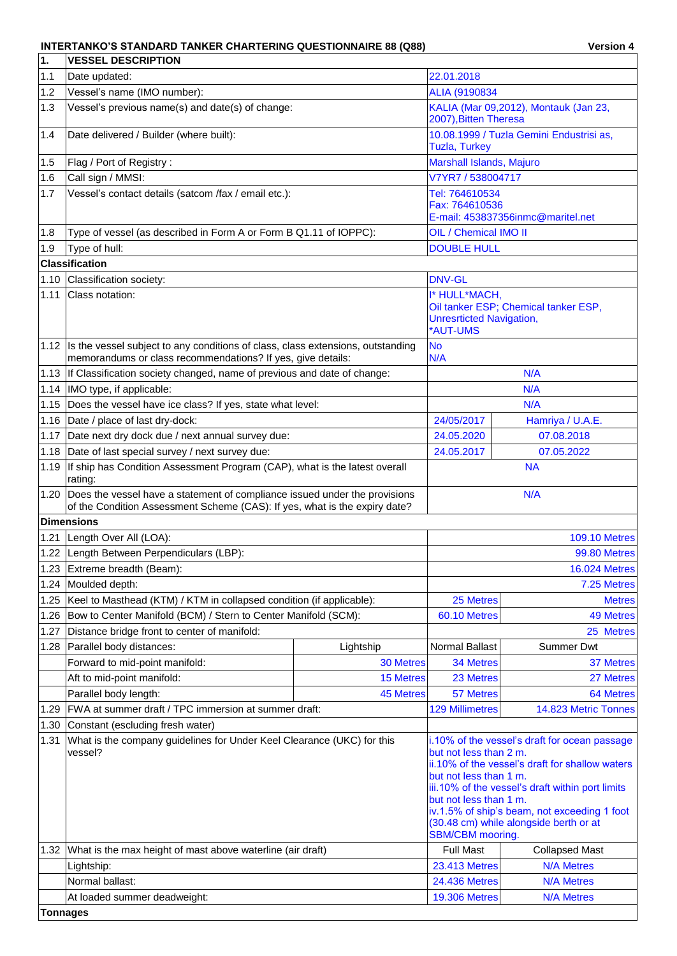## **INTERTANKO'S STANDARD TANKER CHARTERING QUESTIONNAIRE 88 (Q88) Version 4**

| 1.       | <b>VESSEL DESCRIPTION</b>                                                                                                                                     |                                                                                                       |                                                                                                                                                                                                                                                |                                      |  |  |
|----------|---------------------------------------------------------------------------------------------------------------------------------------------------------------|-------------------------------------------------------------------------------------------------------|------------------------------------------------------------------------------------------------------------------------------------------------------------------------------------------------------------------------------------------------|--------------------------------------|--|--|
| $1.1$    | Date updated:                                                                                                                                                 |                                                                                                       | 22.01.2018                                                                                                                                                                                                                                     |                                      |  |  |
| 1.2      | Vessel's name (IMO number):                                                                                                                                   | ALIA (9190834                                                                                         |                                                                                                                                                                                                                                                |                                      |  |  |
| 1.3      | Vessel's previous name(s) and date(s) of change:                                                                                                              | KALIA (Mar 09,2012), Montauk (Jan 23,<br>2007), Bitten Theresa                                        |                                                                                                                                                                                                                                                |                                      |  |  |
| 1.4      | Date delivered / Builder (where built):                                                                                                                       |                                                                                                       | 10.08.1999 / Tuzla Gemini Endustrisi as,<br><b>Tuzla, Turkey</b>                                                                                                                                                                               |                                      |  |  |
| 1.5      | Flag / Port of Registry:                                                                                                                                      |                                                                                                       | Marshall Islands, Majuro                                                                                                                                                                                                                       |                                      |  |  |
| 1.6      | Call sign / MMSI:                                                                                                                                             |                                                                                                       | V7YR7 / 538004717                                                                                                                                                                                                                              |                                      |  |  |
| 1.7      | Vessel's contact details (satcom /fax / email etc.):                                                                                                          |                                                                                                       | Tel: 764610534                                                                                                                                                                                                                                 |                                      |  |  |
|          |                                                                                                                                                               |                                                                                                       | Fax: 764610536                                                                                                                                                                                                                                 | E-mail: 453837356inmc@maritel.net    |  |  |
| 1.8      | Type of vessel (as described in Form A or Form B Q1.11 of IOPPC):                                                                                             |                                                                                                       | OIL / Chemical IMO II                                                                                                                                                                                                                          |                                      |  |  |
| 1.9      | Type of hull:                                                                                                                                                 |                                                                                                       | <b>DOUBLE HULL</b>                                                                                                                                                                                                                             |                                      |  |  |
|          | <b>Classification</b>                                                                                                                                         |                                                                                                       |                                                                                                                                                                                                                                                |                                      |  |  |
| 1.10     | Classification society:                                                                                                                                       |                                                                                                       | <b>DNV-GL</b>                                                                                                                                                                                                                                  |                                      |  |  |
| 1.11     | Class notation:                                                                                                                                               |                                                                                                       | I* HULL*MACH,                                                                                                                                                                                                                                  |                                      |  |  |
|          |                                                                                                                                                               |                                                                                                       | <b>Unresrticted Navigation,</b><br>*AUT-UMS                                                                                                                                                                                                    | Oil tanker ESP; Chemical tanker ESP, |  |  |
|          | 1.12 Is the vessel subject to any conditions of class, class extensions, outstanding<br>memorandums or class recommendations? If yes, give details:           |                                                                                                       | <b>No</b><br>N/A                                                                                                                                                                                                                               |                                      |  |  |
|          | 1.13 If Classification society changed, name of previous and date of change:                                                                                  |                                                                                                       |                                                                                                                                                                                                                                                | N/A                                  |  |  |
| 1.14     | IMO type, if applicable:                                                                                                                                      |                                                                                                       |                                                                                                                                                                                                                                                | N/A                                  |  |  |
| 1.15     | Does the vessel have ice class? If yes, state what level:                                                                                                     |                                                                                                       | N/A                                                                                                                                                                                                                                            |                                      |  |  |
|          | 1.16 Date / place of last dry-dock:                                                                                                                           | 24/05/2017                                                                                            | Hamriya / U.A.E.                                                                                                                                                                                                                               |                                      |  |  |
| 1.17     | Date next dry dock due / next annual survey due:                                                                                                              |                                                                                                       | 24.05.2020                                                                                                                                                                                                                                     | 07.08.2018                           |  |  |
| 1.18     | Date of last special survey / next survey due:                                                                                                                |                                                                                                       | 24.05.2017                                                                                                                                                                                                                                     | 07.05.2022                           |  |  |
| 1.19     | If ship has Condition Assessment Program (CAP), what is the latest overall<br>rating:                                                                         |                                                                                                       | <b>NA</b>                                                                                                                                                                                                                                      |                                      |  |  |
|          | 1.20 Does the vessel have a statement of compliance issued under the provisions<br>of the Condition Assessment Scheme (CAS): If yes, what is the expiry date? |                                                                                                       |                                                                                                                                                                                                                                                | N/A                                  |  |  |
|          | <b>Dimensions</b>                                                                                                                                             |                                                                                                       |                                                                                                                                                                                                                                                |                                      |  |  |
| 1.21     | Length Over All (LOA):                                                                                                                                        |                                                                                                       |                                                                                                                                                                                                                                                | <b>109.10 Metres</b>                 |  |  |
|          | 1.22 Length Between Perpendiculars (LBP):                                                                                                                     |                                                                                                       |                                                                                                                                                                                                                                                | 99.80 Metres                         |  |  |
|          | 1.23 Extreme breadth (Beam):                                                                                                                                  |                                                                                                       |                                                                                                                                                                                                                                                | <b>16.024 Metres</b>                 |  |  |
| 1.24     | Moulded depth:                                                                                                                                                |                                                                                                       |                                                                                                                                                                                                                                                | 7.25 Metres                          |  |  |
| 1.25     | Keel to Masthead (KTM) / KTM in collapsed condition (if applicable):                                                                                          |                                                                                                       | 25 Metres                                                                                                                                                                                                                                      | <b>Metres</b>                        |  |  |
| 1.26     | Bow to Center Manifold (BCM) / Stern to Center Manifold (SCM):                                                                                                |                                                                                                       | 60.10 Metres                                                                                                                                                                                                                                   | <b>49 Metres</b>                     |  |  |
| 1.27     | Distance bridge front to center of manifold:                                                                                                                  |                                                                                                       |                                                                                                                                                                                                                                                | 25 Metres                            |  |  |
| 1.28     | Parallel body distances:                                                                                                                                      | Lightship                                                                                             | <b>Normal Ballast</b>                                                                                                                                                                                                                          | <b>Summer Dwt</b>                    |  |  |
|          | Forward to mid-point manifold:                                                                                                                                | 30 Metres                                                                                             | 34 Metres                                                                                                                                                                                                                                      | 37 Metres                            |  |  |
|          | Aft to mid-point manifold:                                                                                                                                    | <b>15 Metres</b>                                                                                      | 23 Metres                                                                                                                                                                                                                                      | 27 Metres                            |  |  |
|          | Parallel body length:                                                                                                                                         | <b>45 Metres</b>                                                                                      | 57 Metres                                                                                                                                                                                                                                      | 64 Metres                            |  |  |
| 1.29     | FWA at summer draft / TPC immersion at summer draft:                                                                                                          |                                                                                                       | <b>129 Millimetres</b>                                                                                                                                                                                                                         | 14.823 Metric Tonnes                 |  |  |
| 1.30     | Constant (escluding fresh water)                                                                                                                              |                                                                                                       |                                                                                                                                                                                                                                                |                                      |  |  |
| 1.31     | What is the company guidelines for Under Keel Clearance (UKC) for this<br>vessel?                                                                             | but not less than 2 m.<br>but not less than 1 m.<br>but not less than 1 m.<br><b>SBM/CBM</b> mooring. | i.10% of the vessel's draft for ocean passage<br>ii.10% of the vessel's draft for shallow waters<br>iii.10% of the vessel's draft within port limits<br>iv.1.5% of ship's beam, not exceeding 1 foot<br>(30.48 cm) while alongside berth or at |                                      |  |  |
|          | 1.32 What is the max height of mast above waterline (air draft)                                                                                               |                                                                                                       | <b>Full Mast</b>                                                                                                                                                                                                                               | <b>Collapsed Mast</b>                |  |  |
|          | Lightship:                                                                                                                                                    |                                                                                                       | <b>23.413 Metres</b>                                                                                                                                                                                                                           | <b>N/A Metres</b>                    |  |  |
|          | Normal ballast:                                                                                                                                               |                                                                                                       | <b>24.436 Metres</b>                                                                                                                                                                                                                           | <b>N/A Metres</b>                    |  |  |
|          | At loaded summer deadweight:                                                                                                                                  |                                                                                                       | <b>19.306 Metres</b>                                                                                                                                                                                                                           | <b>N/A Metres</b>                    |  |  |
| Tonnages |                                                                                                                                                               |                                                                                                       |                                                                                                                                                                                                                                                |                                      |  |  |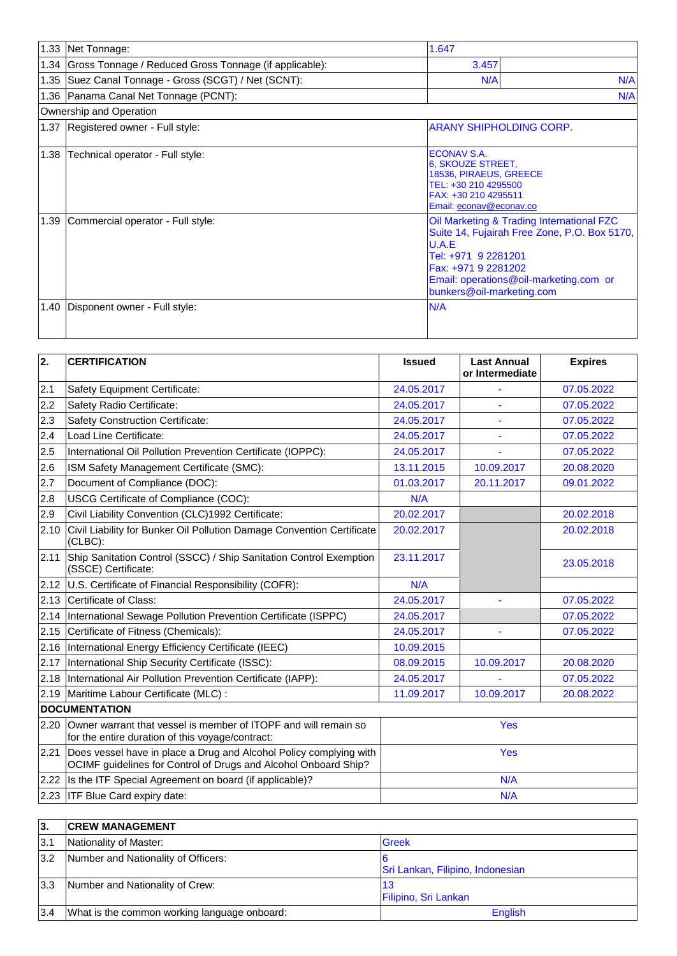|      | 1.33 Net Tonnage:                                           | 1.647                                                                                                                                                                                                                   |
|------|-------------------------------------------------------------|-------------------------------------------------------------------------------------------------------------------------------------------------------------------------------------------------------------------------|
|      | 1.34 Gross Tonnage / Reduced Gross Tonnage (if applicable): | 3.457                                                                                                                                                                                                                   |
|      | 1.35 Suez Canal Tonnage - Gross (SCGT) / Net (SCNT):        | N/A<br>N/A                                                                                                                                                                                                              |
|      | 1.36 Panama Canal Net Tonnage (PCNT):                       | N/A                                                                                                                                                                                                                     |
|      | Ownership and Operation                                     |                                                                                                                                                                                                                         |
|      | 1.37 Registered owner - Full style:                         | <b>ARANY SHIPHOLDING CORP.</b>                                                                                                                                                                                          |
| 1.38 | Technical operator - Full style:                            | <b>ECONAV S.A.</b><br>6, SKOUZE STREET,<br>18536, PIRAEUS, GREECE<br>TEL: +30 210 4295500<br>FAX: +30 210 4295511<br>Email: econav@econav.co                                                                            |
| 1.39 | Commercial operator - Full style:                           | Oil Marketing & Trading International FZC<br>Suite 14, Fujairah Free Zone, P.O. Box 5170,<br>U.A.E<br>Tel: +971 9 2281201<br>Fax: +971 9 2281202<br>Email: operations@oil-marketing.com or<br>bunkers@oil-marketing.com |
| 1.40 | Disponent owner - Full style:                               | N/A                                                                                                                                                                                                                     |

| $\overline{2}$ . | <b>CERTIFICATION</b>                                                                                                                  | <b>Issued</b> | <b>Last Annual</b><br>or Intermediate | <b>Expires</b> |  |
|------------------|---------------------------------------------------------------------------------------------------------------------------------------|---------------|---------------------------------------|----------------|--|
| 2.1              | Safety Equipment Certificate:                                                                                                         | 24.05.2017    |                                       | 07.05.2022     |  |
| 2.2              | Safety Radio Certificate:                                                                                                             | 24.05.2017    |                                       | 07.05.2022     |  |
| 2.3              | <b>Safety Construction Certificate:</b>                                                                                               | 24.05.2017    |                                       | 07.05.2022     |  |
| 2.4              | Load Line Certificate:                                                                                                                | 24.05.2017    |                                       | 07.05.2022     |  |
| 2.5              | International Oil Pollution Prevention Certificate (IOPPC):                                                                           | 24.05.2017    |                                       | 07.05.2022     |  |
| 2.6              | ISM Safety Management Certificate (SMC):                                                                                              | 13.11.2015    | 10.09.2017                            | 20.08.2020     |  |
| 2.7              | Document of Compliance (DOC):                                                                                                         | 01.03.2017    | 20.11.2017                            | 09.01.2022     |  |
| 2.8              | USCG Certificate of Compliance (COC):                                                                                                 | N/A           |                                       |                |  |
| 2.9              | Civil Liability Convention (CLC)1992 Certificate:                                                                                     | 20.02.2017    |                                       | 20.02.2018     |  |
| 2.10             | Civil Liability for Bunker Oil Pollution Damage Convention Certificate<br>$(CLBC)$ :                                                  | 20.02.2017    |                                       | 20.02.2018     |  |
| 2.11             | Ship Sanitation Control (SSCC) / Ship Sanitation Control Exemption<br>(SSCE) Certificate:                                             | 23.11.2017    |                                       | 23.05.2018     |  |
|                  | 2.12 U.S. Certificate of Financial Responsibility (COFR):                                                                             | N/A           |                                       |                |  |
| 2.13             | Certificate of Class:                                                                                                                 | 24.05.2017    |                                       | 07.05.2022     |  |
| 2.14             | International Sewage Pollution Prevention Certificate (ISPPC)                                                                         | 24.05.2017    |                                       | 07.05.2022     |  |
| 2.15             | Certificate of Fitness (Chemicals):                                                                                                   | 24.05.2017    |                                       | 07.05.2022     |  |
| 2.16             | International Energy Efficiency Certificate (IEEC)                                                                                    | 10.09.2015    |                                       |                |  |
| 2.17             | International Ship Security Certificate (ISSC):                                                                                       | 08.09.2015    | 10.09.2017                            | 20.08.2020     |  |
| 2.18             | International Air Pollution Prevention Certificate (IAPP):                                                                            | 24.05.2017    |                                       | 07.05.2022     |  |
| 2.19             | Maritime Labour Certificate (MLC) :                                                                                                   | 11.09.2017    | 10.09.2017                            | 20.08.2022     |  |
|                  | <b>DOCUMENTATION</b>                                                                                                                  |               |                                       |                |  |
| 2.20             | Owner warrant that vessel is member of ITOPF and will remain so<br>for the entire duration of this voyage/contract:                   |               | <b>Yes</b>                            |                |  |
| 2.21             | Does vessel have in place a Drug and Alcohol Policy complying with<br>OCIMF guidelines for Control of Drugs and Alcohol Onboard Ship? | Yes           |                                       |                |  |
|                  | 2.22 Is the ITF Special Agreement on board (if applicable)?                                                                           | N/A           |                                       |                |  |
|                  | 2.23 ITF Blue Card expiry date:                                                                                                       | N/A           |                                       |                |  |

| 3.  | <b>CREW MANAGEMENT</b>                       |                                  |
|-----|----------------------------------------------|----------------------------------|
| 3.1 | Nationality of Master:                       | <b>Greek</b>                     |
| 3.2 | Number and Nationality of Officers:          | Sri Lankan, Filipino, Indonesian |
| 3.3 | Number and Nationality of Crew:              | 13<br>Filipino, Sri Lankan       |
| 3.4 | What is the common working language onboard: | <b>English</b>                   |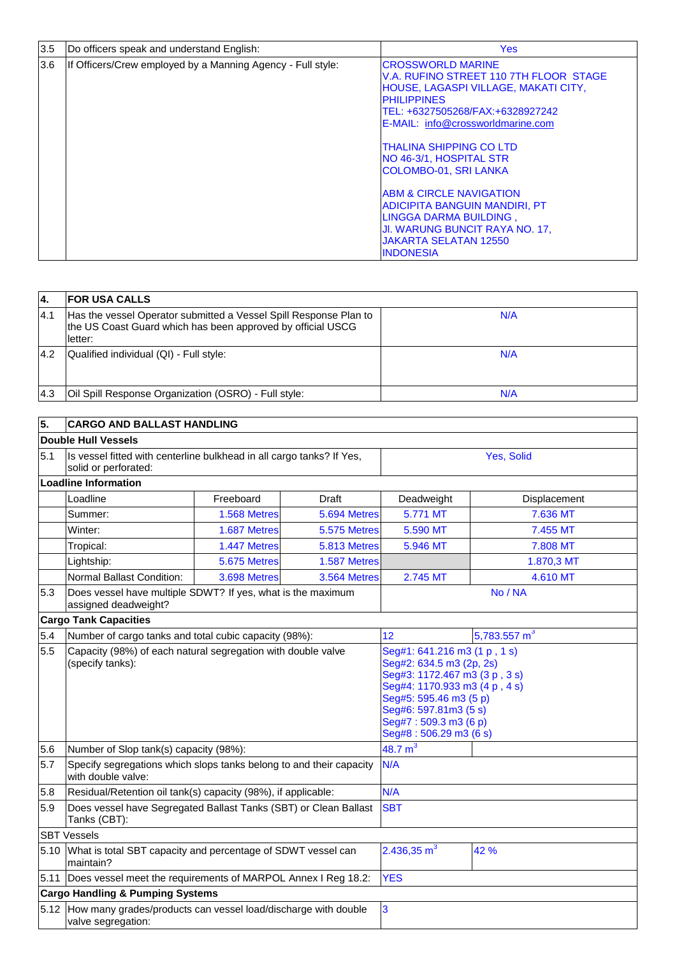| 3.5 | Do officers speak and understand English:                   | <b>Yes</b>                                                                                                                                                                                                                                                                                                     |
|-----|-------------------------------------------------------------|----------------------------------------------------------------------------------------------------------------------------------------------------------------------------------------------------------------------------------------------------------------------------------------------------------------|
| 3.6 | If Officers/Crew employed by a Manning Agency - Full style: | <b>CROSSWORLD MARINE</b><br>V.A. RUFINO STREET 110 7TH FLOOR STAGE<br><b>HOUSE, LAGASPI VILLAGE, MAKATI CITY,</b><br><b>PHILIPPINES</b><br>TEL: +6327505268/FAX:+6328927242<br>E-MAIL: info@crossworldmarine.com<br>ITHALINA SHIPPING CO LTD<br><b>NO 46-3/1, HOSPITAL STR</b><br><b>COLOMBO-01, SRI LANKA</b> |
|     |                                                             | <b>ABM &amp; CIRCLE NAVIGATION</b><br><b>ADICIPITA BANGUIN MANDIRI, PT</b><br>LINGGA DARMA BUILDING,<br>JI. WARUNG BUNCIT RAYA NO. 17,<br><b>JAKARTA SELATAN 12550</b><br><b>INDONESIA</b>                                                                                                                     |

| 4    | <b>FOR USA CALLS</b>                                                                                                                         |     |
|------|----------------------------------------------------------------------------------------------------------------------------------------------|-----|
| 14.1 | Has the vessel Operator submitted a Vessel Spill Response Plan to<br>the US Coast Guard which has been approved by official USCG<br>lletter: | N/A |
| 14.2 | Qualified individual (QI) - Full style:                                                                                                      | N/A |
| 4.3  | Oil Spill Response Organization (OSRO) - Full style:                                                                                         | N/A |

| 5.   | <b>CARGO AND BALLAST HANDLING</b>                                                             |              |              |                                                                                                                                                                                                                                  |                |  |
|------|-----------------------------------------------------------------------------------------------|--------------|--------------|----------------------------------------------------------------------------------------------------------------------------------------------------------------------------------------------------------------------------------|----------------|--|
|      | <b>Double Hull Vessels</b>                                                                    |              |              |                                                                                                                                                                                                                                  |                |  |
| 5.1  | Is vessel fitted with centerline bulkhead in all cargo tanks? If Yes,<br>solid or perforated: |              | Yes, Solid   |                                                                                                                                                                                                                                  |                |  |
|      | <b>Loadline Information</b>                                                                   |              |              |                                                                                                                                                                                                                                  |                |  |
|      | Loadline                                                                                      | Freeboard    | Draft        | Deadweight                                                                                                                                                                                                                       | Displacement   |  |
|      | Summer:                                                                                       | 1.568 Metres | 5.694 Metres | 5.771 MT                                                                                                                                                                                                                         | 7.636 MT       |  |
|      | Winter:                                                                                       | 1.687 Metres | 5.575 Metres | 5.590 MT                                                                                                                                                                                                                         | 7.455 MT       |  |
|      | Tropical:                                                                                     | 1.447 Metres | 5.813 Metres | 5.946 MT                                                                                                                                                                                                                         | 7.808 MT       |  |
|      | Lightship:                                                                                    | 5.675 Metres | 1.587 Metres |                                                                                                                                                                                                                                  | 1.870,3 MT     |  |
|      | Normal Ballast Condition:                                                                     | 3.698 Metres | 3.564 Metres | 2.745 MT                                                                                                                                                                                                                         | 4.610 MT       |  |
| 5.3  | Does vessel have multiple SDWT? If yes, what is the maximum<br>assigned deadweight?           |              |              |                                                                                                                                                                                                                                  | No / NA        |  |
|      | <b>Cargo Tank Capacities</b>                                                                  |              |              |                                                                                                                                                                                                                                  |                |  |
| 5.4  | Number of cargo tanks and total cubic capacity (98%):                                         |              |              | 12                                                                                                                                                                                                                               | 5,783.557 $m3$ |  |
| 5.5  | Capacity (98%) of each natural segregation with double valve<br>(specify tanks):              |              |              | Seg#1: 641.216 m3 (1 p, 1 s)<br>Seg#2: 634.5 m3 (2p, 2s)<br>Seg#3: 1172.467 m3 (3 p, 3 s)<br>Seg#4: 1170.933 m3 (4 p, 4 s)<br>Seg#5: 595.46 m3 (5 p)<br>Seg#6: 597.81m3 (5 s)<br>Seg#7: 509.3 m3 (6 p)<br>Seg#8: 506.29 m3 (6 s) |                |  |
| 5.6  | Number of Slop tank(s) capacity (98%):                                                        |              |              | 48.7 $m3$                                                                                                                                                                                                                        |                |  |
| 5.7  | Specify segregations which slops tanks belong to and their capacity<br>with double valve:     |              |              | N/A                                                                                                                                                                                                                              |                |  |
| 5.8  | Residual/Retention oil tank(s) capacity (98%), if applicable:                                 |              |              | N/A                                                                                                                                                                                                                              |                |  |
| 5.9  | Does vessel have Segregated Ballast Tanks (SBT) or Clean Ballast<br>Tanks (CBT):              |              |              | <b>SBT</b>                                                                                                                                                                                                                       |                |  |
|      | <b>SBT Vessels</b>                                                                            |              |              |                                                                                                                                                                                                                                  |                |  |
| 5.10 | What is total SBT capacity and percentage of SDWT vessel can<br>maintain?                     |              |              | 2.436,35 $m3$                                                                                                                                                                                                                    | 42 %           |  |
|      | 5.11  Does vessel meet the requirements of MARPOL Annex I Reg 18.2:                           |              |              | <b>YES</b>                                                                                                                                                                                                                       |                |  |
|      | <b>Cargo Handling &amp; Pumping Systems</b>                                                   |              |              |                                                                                                                                                                                                                                  |                |  |
|      | 5.12 How many grades/products can vessel load/discharge with double<br>valve segregation:     |              |              | 3                                                                                                                                                                                                                                |                |  |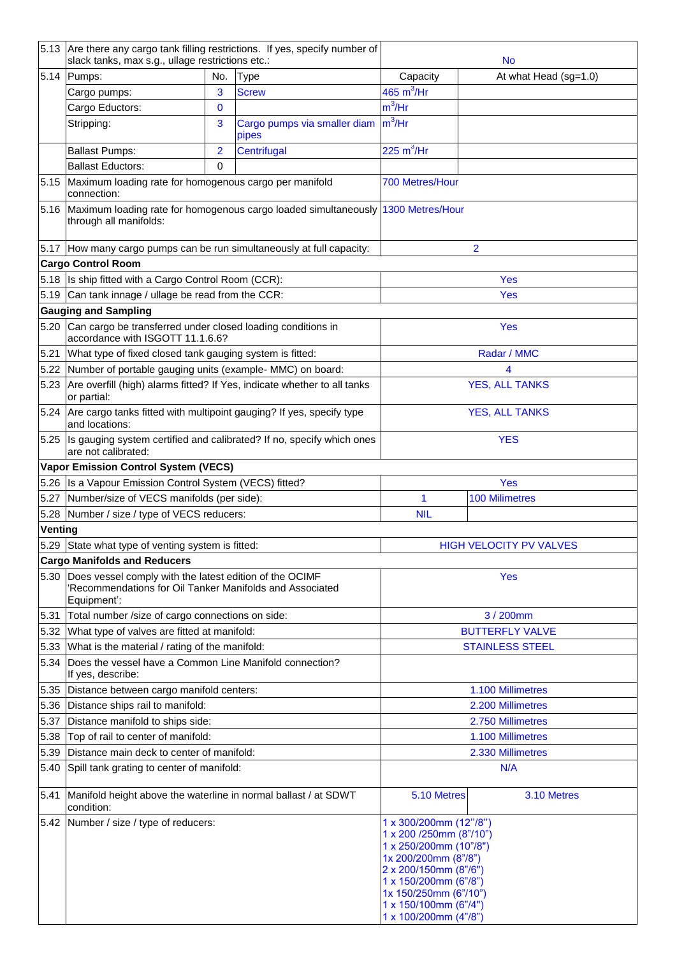|         | slack tanks, max s.g., ullage restrictions etc.:                                                                                   |                | 5.13 Are there any cargo tank filling restrictions. If yes, specify number of         |                                                                                                                                                                                                                                  | <b>No</b>                      |  |
|---------|------------------------------------------------------------------------------------------------------------------------------------|----------------|---------------------------------------------------------------------------------------|----------------------------------------------------------------------------------------------------------------------------------------------------------------------------------------------------------------------------------|--------------------------------|--|
| 5.14    | Pumps:                                                                                                                             | No.            | <b>Type</b>                                                                           | Capacity                                                                                                                                                                                                                         | At what Head (sg=1.0)          |  |
|         | Cargo pumps:                                                                                                                       | 3              | <b>Screw</b>                                                                          | 465 $m^3$ /Hr                                                                                                                                                                                                                    |                                |  |
|         | Cargo Eductors:                                                                                                                    | $\mathbf 0$    |                                                                                       | $m^3$ /Hr                                                                                                                                                                                                                        |                                |  |
|         | Stripping:                                                                                                                         | 3              | Cargo pumps via smaller diam<br>pipes                                                 | $m^3$ /Hr                                                                                                                                                                                                                        |                                |  |
|         | <b>Ballast Pumps:</b>                                                                                                              | $\overline{2}$ | Centrifugal                                                                           | 225 $m^3$ /Hr                                                                                                                                                                                                                    |                                |  |
|         | <b>Ballast Eductors:</b>                                                                                                           | $\mathbf 0$    |                                                                                       |                                                                                                                                                                                                                                  |                                |  |
| 5.15    | Maximum loading rate for homogenous cargo per manifold                                                                             |                | 700 Metres/Hour                                                                       |                                                                                                                                                                                                                                  |                                |  |
|         | connection:                                                                                                                        |                |                                                                                       |                                                                                                                                                                                                                                  |                                |  |
|         | through all manifolds:                                                                                                             |                | 5.16 Maximum loading rate for homogenous cargo loaded simultaneously 1300 Metres/Hour |                                                                                                                                                                                                                                  |                                |  |
|         | 5.17 How many cargo pumps can be run simultaneously at full capacity:                                                              |                |                                                                                       |                                                                                                                                                                                                                                  | $\overline{2}$                 |  |
|         | <b>Cargo Control Room</b>                                                                                                          |                |                                                                                       |                                                                                                                                                                                                                                  |                                |  |
|         | 5.18 Is ship fitted with a Cargo Control Room (CCR):                                                                               |                |                                                                                       |                                                                                                                                                                                                                                  | Yes                            |  |
|         | 5.19 Can tank innage / ullage be read from the CCR:                                                                                |                |                                                                                       |                                                                                                                                                                                                                                  | <b>Yes</b>                     |  |
|         | <b>Gauging and Sampling</b>                                                                                                        |                |                                                                                       |                                                                                                                                                                                                                                  |                                |  |
|         | 5.20 Can cargo be transferred under closed loading conditions in<br>accordance with ISGOTT 11.1.6.6?                               |                |                                                                                       |                                                                                                                                                                                                                                  | <b>Yes</b>                     |  |
| 5.21    | What type of fixed closed tank gauging system is fitted:                                                                           |                |                                                                                       |                                                                                                                                                                                                                                  | Radar / MMC                    |  |
| 5.22    | Number of portable gauging units (example- MMC) on board:                                                                          |                |                                                                                       |                                                                                                                                                                                                                                  | 4                              |  |
| 5.23    | Are overfill (high) alarms fitted? If Yes, indicate whether to all tanks<br>or partial:                                            |                |                                                                                       |                                                                                                                                                                                                                                  | <b>YES, ALL TANKS</b>          |  |
|         | 5.24 Are cargo tanks fitted with multipoint gauging? If yes, specify type<br>and locations:                                        |                |                                                                                       | <b>YES, ALL TANKS</b>                                                                                                                                                                                                            |                                |  |
| 5.25    | are not calibrated:                                                                                                                |                | Is gauging system certified and calibrated? If no, specify which ones                 | <b>YES</b>                                                                                                                                                                                                                       |                                |  |
|         | <b>Vapor Emission Control System (VECS)</b>                                                                                        |                |                                                                                       |                                                                                                                                                                                                                                  |                                |  |
|         | 5.26 Is a Vapour Emission Control System (VECS) fitted?                                                                            |                |                                                                                       |                                                                                                                                                                                                                                  | <b>Yes</b>                     |  |
| 5.27    | Number/size of VECS manifolds (per side):                                                                                          |                |                                                                                       | 1                                                                                                                                                                                                                                | <b>100 Milimetres</b>          |  |
| 5.28    | Number / size / type of VECS reducers:                                                                                             |                |                                                                                       | <b>NIL</b>                                                                                                                                                                                                                       |                                |  |
| Venting |                                                                                                                                    |                |                                                                                       |                                                                                                                                                                                                                                  |                                |  |
|         | 5.29 State what type of venting system is fitted:                                                                                  |                |                                                                                       |                                                                                                                                                                                                                                  | <b>HIGH VELOCITY PV VALVES</b> |  |
|         | <b>Cargo Manifolds and Reducers</b>                                                                                                |                |                                                                                       |                                                                                                                                                                                                                                  |                                |  |
| 5.30    | Does vessel comply with the latest edition of the OCIMF<br>'Recommendations for Oil Tanker Manifolds and Associated<br>Equipment': |                |                                                                                       | <b>Yes</b>                                                                                                                                                                                                                       |                                |  |
| 5.31    | Total number /size of cargo connections on side:                                                                                   |                |                                                                                       |                                                                                                                                                                                                                                  | 3 / 200mm                      |  |
| 5.32    | What type of valves are fitted at manifold:                                                                                        |                |                                                                                       | <b>BUTTERFLY VALVE</b>                                                                                                                                                                                                           |                                |  |
| 5.33    | What is the material / rating of the manifold:                                                                                     |                |                                                                                       | <b>STAINLESS STEEL</b>                                                                                                                                                                                                           |                                |  |
| 5.34    | Does the vessel have a Common Line Manifold connection?<br>If yes, describe:                                                       |                |                                                                                       |                                                                                                                                                                                                                                  |                                |  |
| 5.35    | Distance between cargo manifold centers:                                                                                           |                |                                                                                       | 1.100 Millimetres                                                                                                                                                                                                                |                                |  |
| 5.36    | Distance ships rail to manifold:                                                                                                   |                |                                                                                       |                                                                                                                                                                                                                                  | 2.200 Millimetres              |  |
| 5.37    | Distance manifold to ships side:                                                                                                   |                |                                                                                       | 2.750 Millimetres                                                                                                                                                                                                                |                                |  |
| 5.38    | Top of rail to center of manifold:                                                                                                 |                |                                                                                       | 1.100 Millimetres                                                                                                                                                                                                                |                                |  |
| 5.39    | Distance main deck to center of manifold:                                                                                          |                |                                                                                       | 2.330 Millimetres                                                                                                                                                                                                                |                                |  |
| 5.40    | Spill tank grating to center of manifold:                                                                                          |                |                                                                                       |                                                                                                                                                                                                                                  | N/A                            |  |
| 5.41    | Manifold height above the waterline in normal ballast / at SDWT<br>condition:                                                      |                |                                                                                       | 5.10 Metres<br>3.10 Metres                                                                                                                                                                                                       |                                |  |
| 5.42    | Number / size / type of reducers:                                                                                                  |                |                                                                                       | 1 x 300/200mm (12"/8")<br>1 x 200 /250mm (8"/10")<br>1 x 250/200mm (10"/8")<br>1x 200/200mm (8"/8")<br>2 x 200/150mm (8"/6")<br>1 x 150/200mm (6"/8")<br>1x 150/250mm (6"/10")<br>1 x 150/100mm (6"/4")<br>1 x 100/200mm (4"/8") |                                |  |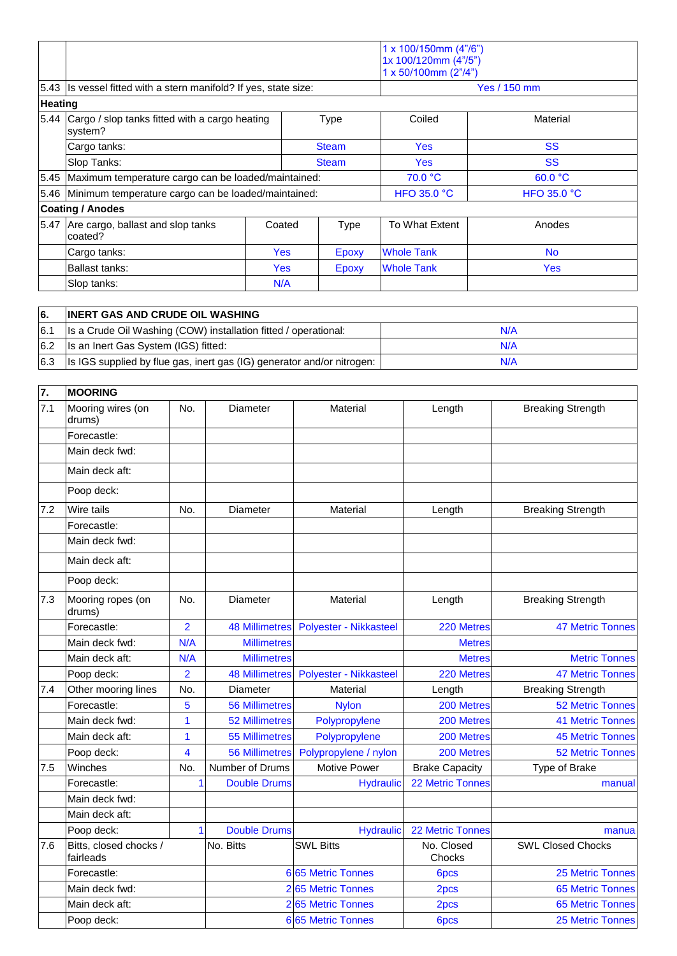|                |                                                                           |  | $1 \times 100/150$ mm (4"/6")<br>1x 100/120mm (4"/5")<br>1 x 50/100mm (2"/4") |              |                   |                    |
|----------------|---------------------------------------------------------------------------|--|-------------------------------------------------------------------------------|--------------|-------------------|--------------------|
|                | 5.43 Is vessel fitted with a stern manifold? If yes, state size:          |  |                                                                               |              |                   | Yes / 150 mm       |
| <b>Heating</b> |                                                                           |  |                                                                               |              |                   |                    |
| 5.44           | Cargo / slop tanks fitted with a cargo heating<br>system?<br>Cargo tanks: |  | <b>Type</b><br><b>Steam</b>                                                   |              | Coiled            | Material           |
|                |                                                                           |  |                                                                               |              | <b>Yes</b>        | <b>SS</b>          |
|                | Slop Tanks:                                                               |  | <b>Steam</b>                                                                  |              | <b>Yes</b>        | <b>SS</b>          |
|                | 5.45 Maximum temperature cargo can be loaded/maintained:                  |  |                                                                               | 70.0 °C      | 60.0 °C           |                    |
|                | 5.46 Minimum temperature cargo can be loaded/maintained:                  |  |                                                                               |              | HFO 35.0 $°C$     | <b>HFO 35.0 °C</b> |
|                | <b>Coating / Anodes</b>                                                   |  |                                                                               |              |                   |                    |
|                | 5.47 Are cargo, ballast and slop tanks<br>coated?                         |  | Coated                                                                        | <b>Type</b>  | To What Extent    | Anodes             |
|                | Cargo tanks:                                                              |  | <b>Yes</b>                                                                    | <b>Epoxy</b> | <b>Whole Tank</b> | <b>No</b>          |
|                | <b>Ballast tanks:</b>                                                     |  | Yes:                                                                          | Epoxy        | <b>Whole Tank</b> | <b>Yes</b>         |
|                | Slop tanks:                                                               |  | N/A                                                                           |              |                   |                    |

| 6.  | <b>INERT GAS AND CRUDE OIL WASHING</b>                                 |     |
|-----|------------------------------------------------------------------------|-----|
| 6.1 | Is a Crude Oil Washing (COW) installation fitted / operational:        | N/A |
| 6.2 | Is an Inert Gas System (IGS) fitted:                                   | N/A |
| 6.3 | Is IGS supplied by flue gas, inert gas (IG) generator and/or nitrogen: | N/A |

| 7.  | <b>MOORING</b>                      |                |                       |                        |                       |                          |
|-----|-------------------------------------|----------------|-----------------------|------------------------|-----------------------|--------------------------|
| 7.1 | Mooring wires (on<br>drums)         | No.            | Diameter              | <b>Material</b>        | Length                | <b>Breaking Strength</b> |
|     | Forecastle:                         |                |                       |                        |                       |                          |
|     | Main deck fwd:                      |                |                       |                        |                       |                          |
|     | Main deck aft:                      |                |                       |                        |                       |                          |
|     | Poop deck:                          |                |                       |                        |                       |                          |
| 7.2 | Wire tails                          | No.            | Diameter              | Material               | Length                | <b>Breaking Strength</b> |
|     | Forecastle:                         |                |                       |                        |                       |                          |
|     | Main deck fwd:                      |                |                       |                        |                       |                          |
|     | Main deck aft:                      |                |                       |                        |                       |                          |
|     | Poop deck:                          |                |                       |                        |                       |                          |
| 7.3 | Mooring ropes (on<br>drums)         | No.            | Diameter              | Material               | Length                | <b>Breaking Strength</b> |
|     | Forecastle:                         | $\overline{2}$ | <b>48 Millimetres</b> | Polyester - Nikkasteel | 220 Metres            | <b>47 Metric Tonnes</b>  |
|     | Main deck fwd:                      | N/A            | <b>Millimetres</b>    |                        | <b>Metres</b>         |                          |
|     | Main deck aft:                      | N/A            | <b>Millimetres</b>    |                        | <b>Metres</b>         | <b>Metric Tonnes</b>     |
|     | Poop deck:                          | $\overline{2}$ | <b>48 Millimetres</b> | Polyester - Nikkasteel | 220 Metres            | <b>47 Metric Tonnes</b>  |
| 7.4 | Other mooring lines                 | No.            | Diameter              | Material               | Length                | <b>Breaking Strength</b> |
|     | Forecastle:                         | 5              | <b>56 Millimetres</b> | <b>Nylon</b>           | 200 Metres            | <b>52 Metric Tonnes</b>  |
|     | Main deck fwd:                      | 1              | <b>52 Millimetres</b> | Polypropylene          | 200 Metres            | <b>41 Metric Tonnes</b>  |
|     | Main deck aft:                      | $\mathbf{1}$   | <b>55 Millimetres</b> | Polypropylene          | 200 Metres            | <b>45 Metric Tonnes</b>  |
|     | Poop deck:                          | 4              | <b>56 Millimetres</b> | Polypropylene / nylon  | 200 Metres            | <b>52 Metric Tonnes</b>  |
| 7.5 | Winches                             | No.            | Number of Drums       | <b>Motive Power</b>    | <b>Brake Capacity</b> | Type of Brake            |
|     | Forecastle:                         | 1              | <b>Double Drums</b>   | <b>Hydraulic</b>       | 22 Metric Tonnes      | manual                   |
|     | Main deck fwd:                      |                |                       |                        |                       |                          |
|     | Main deck aft:                      |                |                       |                        |                       |                          |
|     | Poop deck:                          | $\mathbf{1}$   | <b>Double Drums</b>   | <b>Hydraulic</b>       | 22 Metric Tonnes      | manua                    |
| 7.6 | Bitts, closed chocks /<br>fairleads |                | No. Bitts             | <b>SWL Bitts</b>       | No. Closed<br>Chocks  | <b>SWL Closed Chocks</b> |
|     | Forecastle:                         |                |                       | 6 65 Metric Tonnes     | 6pcs                  | 25 Metric Tonnes         |
|     | Main deck fwd:                      |                |                       | 2 65 Metric Tonnes     | 2pcs                  | <b>65 Metric Tonnes</b>  |
|     | Main deck aft:                      |                |                       | 2 65 Metric Tonnes     | 2pcs                  | <b>65 Metric Tonnes</b>  |
|     | Poop deck:                          |                |                       | 6 65 Metric Tonnes     | 6 <sub>pcs</sub>      | <b>25 Metric Tonnes</b>  |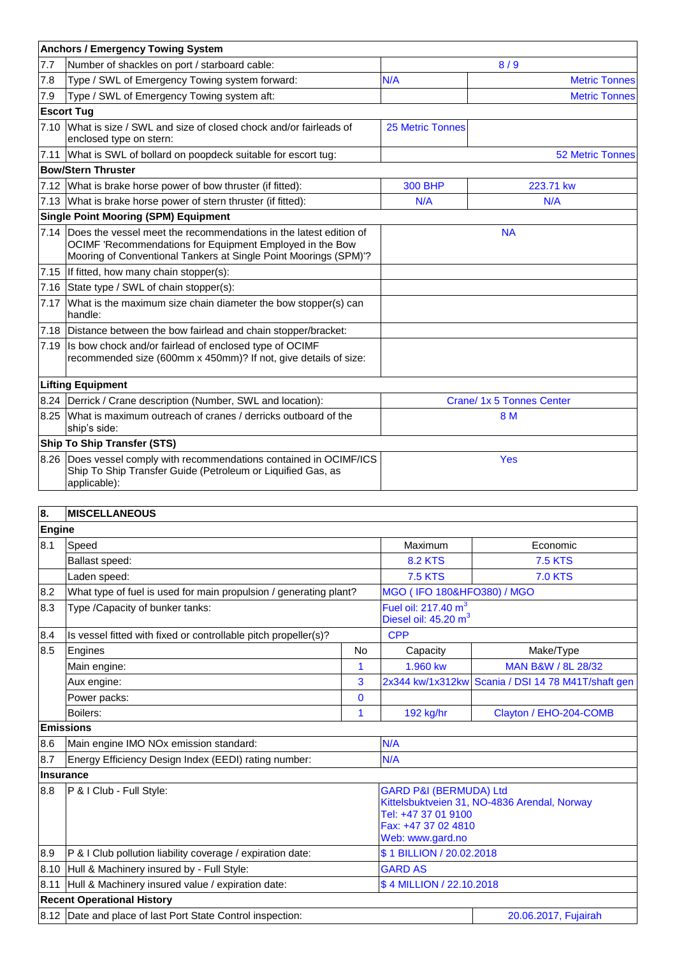|      | <b>Anchors / Emergency Towing System</b>                                                                                                                                                               |                             |                           |  |
|------|--------------------------------------------------------------------------------------------------------------------------------------------------------------------------------------------------------|-----------------------------|---------------------------|--|
| 7.7  | Number of shackles on port / starboard cable:                                                                                                                                                          |                             | 8/9                       |  |
| 7.8  | Type / SWL of Emergency Towing system forward:                                                                                                                                                         | N/A<br><b>Metric Tonnes</b> |                           |  |
| 7.9  | Type / SWL of Emergency Towing system aft:                                                                                                                                                             |                             | <b>Metric Tonnes</b>      |  |
|      | <b>Escort Tug</b>                                                                                                                                                                                      |                             |                           |  |
|      | 7.10 What is size / SWL and size of closed chock and/or fairleads of<br>enclosed type on stern:                                                                                                        | <b>25 Metric Tonnes</b>     |                           |  |
|      | 7.11 What is SWL of bollard on poopdeck suitable for escort tug:                                                                                                                                       |                             | <b>52 Metric Tonnes</b>   |  |
|      | <b>Bow/Stern Thruster</b>                                                                                                                                                                              |                             |                           |  |
| 7.12 | What is brake horse power of bow thruster (if fitted):                                                                                                                                                 | <b>300 BHP</b>              | 223.71 kw                 |  |
|      | 7.13 What is brake horse power of stern thruster (if fitted):                                                                                                                                          | N/A                         | N/A                       |  |
|      | <b>Single Point Mooring (SPM) Equipment</b>                                                                                                                                                            |                             |                           |  |
|      | 7.14 Does the vessel meet the recommendations in the latest edition of<br>OCIMF 'Recommendations for Equipment Employed in the Bow<br>Mooring of Conventional Tankers at Single Point Moorings (SPM)'? |                             | <b>NA</b>                 |  |
|      | 7.15 If fitted, how many chain stopper(s):                                                                                                                                                             |                             |                           |  |
| 7.16 | State type / SWL of chain stopper(s):                                                                                                                                                                  |                             |                           |  |
| 7.17 | What is the maximum size chain diameter the bow stopper(s) can<br>handle:                                                                                                                              |                             |                           |  |
|      | 7.18 Distance between the bow fairlead and chain stopper/bracket:                                                                                                                                      |                             |                           |  |
| 7.19 | Is bow chock and/or fairlead of enclosed type of OCIMF<br>recommended size (600mm x 450mm)? If not, give details of size:                                                                              |                             |                           |  |
|      | <b>Lifting Equipment</b>                                                                                                                                                                               |                             |                           |  |
|      | 8.24   Derrick / Crane description (Number, SWL and location):                                                                                                                                         |                             | Crane/ 1x 5 Tonnes Center |  |
|      | 8.25 What is maximum outreach of cranes / derricks outboard of the<br>ship's side:                                                                                                                     | 8 M                         |                           |  |
|      | <b>Ship To Ship Transfer (STS)</b>                                                                                                                                                                     |                             |                           |  |
|      | 8.26 Does vessel comply with recommendations contained in OCIMF/ICS<br>Ship To Ship Transfer Guide (Petroleum or Liquified Gas, as<br>applicable):                                                     |                             | <b>Yes</b>                |  |

## **8. MISCELLANEOUS**

| Engine           |                                                                   |          |                                                                                                                                                     |                                                    |
|------------------|-------------------------------------------------------------------|----------|-----------------------------------------------------------------------------------------------------------------------------------------------------|----------------------------------------------------|
| 8.1              | Speed                                                             |          | Maximum                                                                                                                                             | Economic                                           |
|                  | Ballast speed:                                                    |          | <b>8.2 KTS</b>                                                                                                                                      | <b>7.5 KTS</b>                                     |
|                  | Laden speed:                                                      |          | <b>7.5 KTS</b>                                                                                                                                      | <b>7.0 KTS</b>                                     |
| 8.2              | What type of fuel is used for main propulsion / generating plant? |          | MGO (IFO 180&HFO380) / MGO                                                                                                                          |                                                    |
| 8.3              | Type / Capacity of bunker tanks:                                  |          | Fuel oil: $217.40 \text{ m}^3$<br>Diesel oil: 45.20 m <sup>3</sup>                                                                                  |                                                    |
| 8.4              | Is vessel fitted with fixed or controllable pitch propeller(s)?   |          | <b>CPP</b>                                                                                                                                          |                                                    |
| 8.5              | Engines                                                           | No       | Capacity                                                                                                                                            | Make/Type                                          |
|                  | Main engine:                                                      | 1        | 1.960 kw                                                                                                                                            | MAN B&W / 8L 28/32                                 |
|                  | Aux engine:                                                       | 3        |                                                                                                                                                     | 2x344 kw/1x312kw Scania / DSI 14 78 M41T/shaft gen |
|                  | Power packs:                                                      | $\bf{0}$ |                                                                                                                                                     |                                                    |
|                  | Boilers:                                                          | 1        | 192 kg/hr                                                                                                                                           | Clayton / EHO-204-COMB                             |
|                  | <b>Emissions</b>                                                  |          |                                                                                                                                                     |                                                    |
| 8.6              | Main engine IMO NOx emission standard:                            |          | N/A                                                                                                                                                 |                                                    |
| 8.7              | Energy Efficiency Design Index (EEDI) rating number:              |          | N/A                                                                                                                                                 |                                                    |
| <b>Insurance</b> |                                                                   |          |                                                                                                                                                     |                                                    |
| 8.8              | P & I Club - Full Style:                                          |          | <b>GARD P&amp;I (BERMUDA) Ltd</b><br>Kittelsbuktveien 31, NO-4836 Arendal, Norway<br>Tel: +47 37 01 9100<br>Fax: +47 37 02 4810<br>Web: www.gard.no |                                                    |
| 8.9              | P & I Club pollution liability coverage / expiration date:        |          | \$1 BILLION / 20.02.2018                                                                                                                            |                                                    |
|                  | 8.10 Hull & Machinery insured by - Full Style:                    |          | <b>GARD AS</b>                                                                                                                                      |                                                    |
| 8.11             | Hull & Machinery insured value / expiration date:                 |          | \$4 MILLION / 22.10.2018                                                                                                                            |                                                    |
|                  | <b>Recent Operational History</b>                                 |          |                                                                                                                                                     |                                                    |
|                  | 8.12 Date and place of last Port State Control inspection:        |          | 20.06.2017, Fujairah                                                                                                                                |                                                    |

 $\overline{\phantom{0}}$